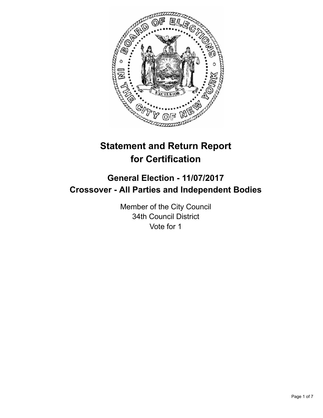

# **Statement and Return Report for Certification**

## **General Election - 11/07/2017 Crossover - All Parties and Independent Bodies**

Member of the City Council 34th Council District Vote for 1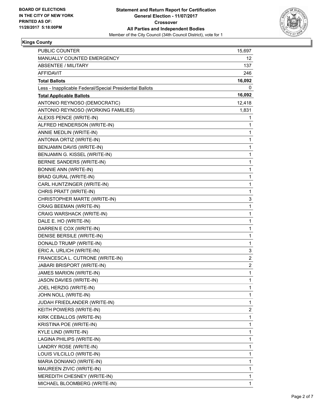

#### **Kings County**

| PUBLIC COUNTER                                           | 15,697                  |
|----------------------------------------------------------|-------------------------|
| MANUALLY COUNTED EMERGENCY                               | 12                      |
| ABSENTEE / MILITARY                                      | 137                     |
| AFFIDAVIT                                                | 246                     |
| <b>Total Ballots</b>                                     | 16,092                  |
| Less - Inapplicable Federal/Special Presidential Ballots | 0                       |
| <b>Total Applicable Ballots</b>                          | 16,092                  |
| ANTONIO REYNOSO (DEMOCRATIC)                             | 12,418                  |
| ANTONIO REYNOSO (WORKING FAMILIES)                       | 1,831                   |
| ALEXIS PENCE (WRITE-IN)                                  | 1                       |
| ALFRED HENDERSON (WRITE-IN)                              | 1                       |
| ANNIE MEDLIN (WRITE-IN)                                  | 1                       |
| ANTONIA ORTIZ (WRITE-IN)                                 | 1                       |
| BENJAMIN DAVIS (WRITE-IN)                                | 1                       |
| BENJAMIN G. KISSEL (WRITE-IN)                            | 1                       |
| BERNIE SANDERS (WRITE-IN)                                | 1                       |
| <b>BONNIE ANN (WRITE-IN)</b>                             | 1                       |
| <b>BRAD GURAL (WRITE-IN)</b>                             | 1                       |
| CARL HUNTZINGER (WRITE-IN)                               | 1                       |
| CHRIS PRATT (WRITE-IN)                                   | 1                       |
| CHRISTOPHER MARTE (WRITE-IN)                             | 3                       |
| CRAIG BEEMAN (WRITE-IN)                                  | 1                       |
| CRAIG WARSHACK (WRITE-IN)                                | 1                       |
| DALE E. HO (WRITE-IN)                                    | 1                       |
| DARREN E COX (WRITE-IN)                                  | 1                       |
| DENISE BERSILE (WRITE-IN)                                | 1                       |
| DONALD TRUMP (WRITE-IN)                                  | 1                       |
| ERIC A. URLICH (WRITE-IN)                                | 3                       |
| FRANCESCA L. CUTRONE (WRITE-IN)                          | 2                       |
| JABARI BRISPORT (WRITE-IN)                               | $\overline{\mathbf{c}}$ |
| JAMES MARION (WRITE-IN)                                  | 1                       |
| JASON DAVIES (WRITE-IN)                                  | 1                       |
| JOEL HERZIG (WRITE-IN)                                   | 1                       |
| JOHN NOLL (WRITE-IN)                                     | 1                       |
| JUDAH FRIEDLANDER (WRITE-IN)                             | 1                       |
| KEITH POWERS (WRITE-IN)                                  | $\overline{\mathbf{c}}$ |
| KIRK CEBALLOS (WRITE-IN)                                 | 1                       |
| KRISTINA POE (WRITE-IN)                                  | 1                       |
| KYLE LIND (WRITE-IN)                                     | 1                       |
| LAGINA PHILIPS (WRITE-IN)                                | 1                       |
| LANDRY ROSE (WRITE-IN)                                   | 1                       |
| LOUIS VILCILLO (WRITE-IN)                                | 1                       |
| MARIA DONIANO (WRITE-IN)                                 | 1                       |
| MAUREEN ZIVIC (WRITE-IN)                                 | 1                       |
| MEREDITH CHESNEY (WRITE-IN)                              | 1                       |
| MICHAEL BLOOMBERG (WRITE-IN)                             | 1                       |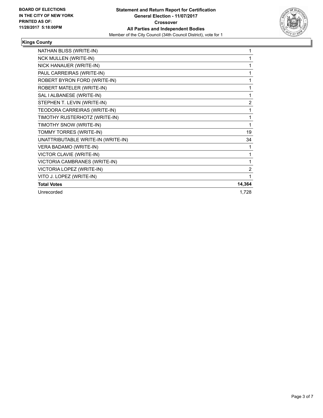

#### **Kings County**

| NATHAN BLISS (WRITE-IN)            | 1      |
|------------------------------------|--------|
| <b>NCK MULLEN (WRITE-IN)</b>       | 1      |
| NICK HANAUER (WRITE-IN)            | 1      |
| PAUL CARREIRAS (WRITE-IN)          | 1      |
| ROBERT BYRON FORD (WRITE-IN)       | 1      |
| ROBERT MATELER (WRITE-IN)          | 1      |
| SAL I ALBANESE (WRITE-IN)          | 1      |
| STEPHEN T. LEVIN (WRITE-IN)        | 2      |
| TEODORA CARREIRAS (WRITE-IN)       | 1      |
| TIMOTHY RUSTERHOTZ (WRITE-IN)      | 1      |
| TIMOTHY SNOW (WRITE-IN)            | 1      |
| TOMMY TORRES (WRITE-IN)            | 19     |
| UNATTRIBUTABLE WRITE-IN (WRITE-IN) | 34     |
| VERA BADAMO (WRITE-IN)             | 1      |
| VICTOR CLAVIE (WRITE-IN)           | 1      |
| VICTORIA CAMBRANES (WRITE-IN)      | 1      |
| VICTORIA LOPEZ (WRITE-IN)          | 2      |
| VITO J. LOPEZ (WRITE-IN)           | 1      |
| <b>Total Votes</b>                 | 14,364 |
| Unrecorded                         | 1,728  |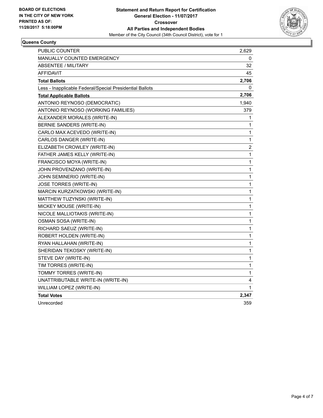

#### **Queens County**

| <b>PUBLIC COUNTER</b>                                    | 2,629 |
|----------------------------------------------------------|-------|
| <b>MANUALLY COUNTED EMERGENCY</b>                        | 0     |
| <b>ABSENTEE / MILITARY</b>                               | 32    |
| AFFIDAVIT                                                | 45    |
| <b>Total Ballots</b>                                     | 2,706 |
| Less - Inapplicable Federal/Special Presidential Ballots | 0     |
| <b>Total Applicable Ballots</b>                          | 2,706 |
| ANTONIO REYNOSO (DEMOCRATIC)                             | 1,940 |
| ANTONIO REYNOSO (WORKING FAMILIES)                       | 379   |
| ALEXANDER MORALES (WRITE-IN)                             | 1     |
| <b>BERNIE SANDERS (WRITE-IN)</b>                         | 1     |
| CARLO MAX ACEVEDO (WRITE-IN)                             | 1     |
| CARLOS DANGER (WRITE-IN)                                 | 1     |
| ELIZABETH CROWLEY (WRITE-IN)                             | 2     |
| FATHER JAMES KELLY (WRITE-IN)                            | 1     |
| FRANCISCO MOYA (WRITE-IN)                                | 1     |
| JOHN PROVENZANO (WRITE-IN)                               | 1     |
| JOHN SEMINERIO (WRITE-IN)                                | 1     |
| <b>JOSE TORRES (WRITE-IN)</b>                            | 1     |
| MARCIN KURZATKOWSKI (WRITE-IN)                           | 1     |
| MATTHEW TUZYNSKI (WRITE-IN)                              | 1     |
| MICKEY MOUSE (WRITE-IN)                                  | 1     |
| NICOLE MALLIOTAKIS (WRITE-IN)                            | 1     |
| OSMAN SOSA (WRITE-IN)                                    | 1     |
| RICHARD SAEUZ (WRITE-IN)                                 | 1     |
| ROBERT HOLDEN (WRITE-IN)                                 | 1     |
| RYAN HALLAHAN (WRITE-IN)                                 | 1     |
| SHERIDAN TEKOSKY (WRITE-IN)                              | 1     |
| STEVE DAY (WRITE-IN)                                     | 1     |
| TIM TORRES (WRITE-IN)                                    | 1     |
| TOMMY TORRES (WRITE-IN)                                  | 1     |
| UNATTRIBUTABLE WRITE-IN (WRITE-IN)                       | 4     |
| WILLIAM LOPEZ (WRITE-IN)                                 | 1     |
| <b>Total Votes</b>                                       | 2,347 |
| Unrecorded                                               | 359   |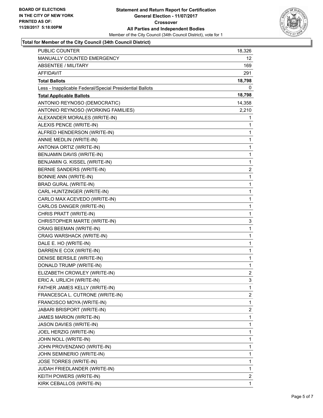

#### **Total for Member of the City Council (34th Council District)**

| PUBLIC COUNTER                                           | 18,326         |
|----------------------------------------------------------|----------------|
| MANUALLY COUNTED EMERGENCY                               | 12             |
| ABSENTEE / MILITARY                                      | 169            |
| AFFIDAVIT                                                | 291            |
| <b>Total Ballots</b>                                     | 18,798         |
| Less - Inapplicable Federal/Special Presidential Ballots | 0              |
| <b>Total Applicable Ballots</b>                          | 18,798         |
| ANTONIO REYNOSO (DEMOCRATIC)                             | 14,358         |
| ANTONIO REYNOSO (WORKING FAMILIES)                       | 2,210          |
| ALEXANDER MORALES (WRITE-IN)                             | 1              |
| ALEXIS PENCE (WRITE-IN)                                  | 1              |
| ALFRED HENDERSON (WRITE-IN)                              | 1              |
| ANNIE MEDLIN (WRITE-IN)                                  | 1              |
| ANTONIA ORTIZ (WRITE-IN)                                 | 1              |
| BENJAMIN DAVIS (WRITE-IN)                                | 1              |
| BENJAMIN G. KISSEL (WRITE-IN)                            | 1              |
| BERNIE SANDERS (WRITE-IN)                                | 2              |
| <b>BONNIE ANN (WRITE-IN)</b>                             | 1              |
| <b>BRAD GURAL (WRITE-IN)</b>                             | 1              |
| CARL HUNTZINGER (WRITE-IN)                               | 1              |
| CARLO MAX ACEVEDO (WRITE-IN)                             | 1              |
| CARLOS DANGER (WRITE-IN)                                 | 1              |
| CHRIS PRATT (WRITE-IN)                                   | 1              |
| CHRISTOPHER MARTE (WRITE-IN)                             | 3              |
| CRAIG BEEMAN (WRITE-IN)                                  | 1              |
| CRAIG WARSHACK (WRITE-IN)                                | 1              |
| DALE E. HO (WRITE-IN)                                    | 1              |
| DARREN E COX (WRITE-IN)                                  | 1              |
| DENISE BERSILE (WRITE-IN)                                | 1              |
| DONALD TRUMP (WRITE-IN)                                  | 1              |
| ELIZABETH CROWLEY (WRITE-IN)                             | $\overline{2}$ |
| ERIC A. URLICH (WRITE-IN)                                | 3              |
| FATHER JAMES KELLY (WRITE-IN)                            | 1              |
| FRANCESCA L. CUTRONE (WRITE-IN)                          | 2              |
| FRANCISCO MOYA (WRITE-IN)                                | 1              |
| <b>JABARI BRISPORT (WRITE-IN)</b>                        | 2              |
| JAMES MARION (WRITE-IN)                                  | 1              |
| JASON DAVIES (WRITE-IN)                                  | 1              |
| JOEL HERZIG (WRITE-IN)                                   | 1              |
| JOHN NOLL (WRITE-IN)                                     | 1              |
| JOHN PROVENZANO (WRITE-IN)                               | 1              |
| JOHN SEMINERIO (WRITE-IN)                                | 1              |
| JOSE TORRES (WRITE-IN)                                   | 1              |
| JUDAH FRIEDLANDER (WRITE-IN)                             | 1              |
| KEITH POWERS (WRITE-IN)                                  | 2              |
| KIRK CEBALLOS (WRITE-IN)                                 | 1              |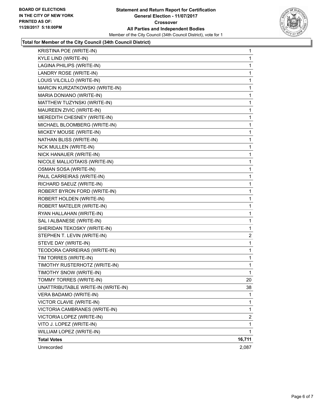

#### **Total for Member of the City Council (34th Council District)**

| KRISTINA POE (WRITE-IN)            | 1              |
|------------------------------------|----------------|
| KYLE LIND (WRITE-IN)               | 1              |
| LAGINA PHILIPS (WRITE-IN)          | 1              |
| LANDRY ROSE (WRITE-IN)             | 1              |
| LOUIS VILCILLO (WRITE-IN)          | 1              |
| MARCIN KURZATKOWSKI (WRITE-IN)     | 1              |
| MARIA DONIANO (WRITE-IN)           | 1              |
| MATTHEW TUZYNSKI (WRITE-IN)        | 1              |
| MAUREEN ZIVIC (WRITE-IN)           | 1              |
| MEREDITH CHESNEY (WRITE-IN)        | 1              |
| MICHAEL BLOOMBERG (WRITE-IN)       | 1              |
| MICKEY MOUSE (WRITE-IN)            | 1              |
| NATHAN BLISS (WRITE-IN)            | 1              |
| <b>NCK MULLEN (WRITE-IN)</b>       | 1              |
| NICK HANAUER (WRITE-IN)            | 1              |
| NICOLE MALLIOTAKIS (WRITE-IN)      | 1              |
| OSMAN SOSA (WRITE-IN)              | 1              |
| PAUL CARREIRAS (WRITE-IN)          | 1              |
| RICHARD SAEUZ (WRITE-IN)           | 1              |
| ROBERT BYRON FORD (WRITE-IN)       | 1              |
| ROBERT HOLDEN (WRITE-IN)           | 1              |
| ROBERT MATELER (WRITE-IN)          | 1              |
| RYAN HALLAHAN (WRITE-IN)           | 1              |
| SAL I ALBANESE (WRITE-IN)          | 1              |
| SHERIDAN TEKOSKY (WRITE-IN)        | 1              |
| STEPHEN T. LEVIN (WRITE-IN)        | $\overline{c}$ |
| STEVE DAY (WRITE-IN)               | 1              |
| TEODORA CARREIRAS (WRITE-IN)       | 1              |
| TIM TORRES (WRITE-IN)              | $\mathbf{1}$   |
| TIMOTHY RUSTERHOTZ (WRITE-IN)      | 1              |
| TIMOTHY SNOW (WRITE-IN)            | 1              |
| TOMMY TORRES (WRITE-IN)            | 20             |
| UNATTRIBUTABLE WRITE-IN (WRITE-IN) | 38             |
| VERA BADAMO (WRITE-IN)             | 1              |
| VICTOR CLAVIE (WRITE-IN)           | 1              |
| VICTORIA CAMBRANES (WRITE-IN)      | 1              |
| VICTORIA LOPEZ (WRITE-IN)          | 2              |
| VITO J. LOPEZ (WRITE-IN)           | 1              |
| WILLIAM LOPEZ (WRITE-IN)           | 1              |
| <b>Total Votes</b>                 | 16,711         |
| Unrecorded                         | 2,087          |
|                                    |                |